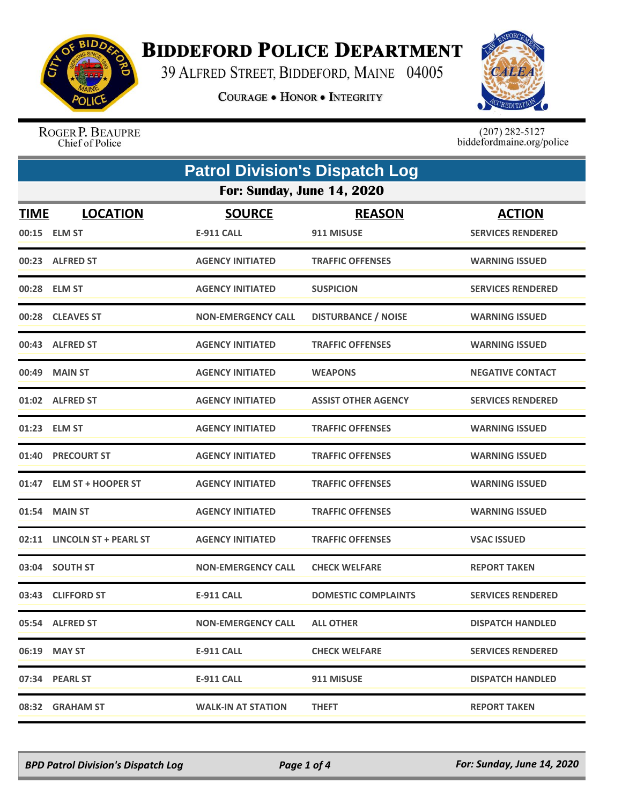

## **BIDDEFORD POLICE DEPARTMENT**

39 ALFRED STREET, BIDDEFORD, MAINE 04005

**COURAGE . HONOR . INTEGRITY** 



ROGER P. BEAUPRE Chief of Police

 $(207)$  282-5127<br>biddefordmaine.org/police

|             | <b>Patrol Division's Dispatch Log</b> |                           |                            |                          |  |
|-------------|---------------------------------------|---------------------------|----------------------------|--------------------------|--|
|             | <b>For: Sunday, June 14, 2020</b>     |                           |                            |                          |  |
| <b>TIME</b> | <b>LOCATION</b>                       | <b>SOURCE</b>             | <b>REASON</b>              | <b>ACTION</b>            |  |
|             | 00:15 ELM ST                          | <b>E-911 CALL</b>         | 911 MISUSE                 | <b>SERVICES RENDERED</b> |  |
|             | 00:23 ALFRED ST                       | <b>AGENCY INITIATED</b>   | <b>TRAFFIC OFFENSES</b>    | <b>WARNING ISSUED</b>    |  |
|             | 00:28 ELM ST                          | <b>AGENCY INITIATED</b>   | <b>SUSPICION</b>           | <b>SERVICES RENDERED</b> |  |
|             | 00:28 CLEAVES ST                      | <b>NON-EMERGENCY CALL</b> | <b>DISTURBANCE / NOISE</b> | <b>WARNING ISSUED</b>    |  |
|             | 00:43 ALFRED ST                       | <b>AGENCY INITIATED</b>   | <b>TRAFFIC OFFENSES</b>    | <b>WARNING ISSUED</b>    |  |
|             | 00:49 MAIN ST                         | <b>AGENCY INITIATED</b>   | <b>WEAPONS</b>             | <b>NEGATIVE CONTACT</b>  |  |
|             | 01:02 ALFRED ST                       | <b>AGENCY INITIATED</b>   | <b>ASSIST OTHER AGENCY</b> | <b>SERVICES RENDERED</b> |  |
| 01:23       | <b>ELM ST</b>                         | <b>AGENCY INITIATED</b>   | <b>TRAFFIC OFFENSES</b>    | <b>WARNING ISSUED</b>    |  |
|             | 01:40 PRECOURT ST                     | <b>AGENCY INITIATED</b>   | <b>TRAFFIC OFFENSES</b>    | <b>WARNING ISSUED</b>    |  |
| 01:47       | <b>ELM ST + HOOPER ST</b>             | <b>AGENCY INITIATED</b>   | <b>TRAFFIC OFFENSES</b>    | <b>WARNING ISSUED</b>    |  |
| 01:54       | <b>MAIN ST</b>                        | <b>AGENCY INITIATED</b>   | <b>TRAFFIC OFFENSES</b>    | <b>WARNING ISSUED</b>    |  |
|             | 02:11 LINCOLN ST + PEARL ST           | <b>AGENCY INITIATED</b>   | <b>TRAFFIC OFFENSES</b>    | <b>VSAC ISSUED</b>       |  |
|             | 03:04 SOUTH ST                        | <b>NON-EMERGENCY CALL</b> | <b>CHECK WELFARE</b>       | <b>REPORT TAKEN</b>      |  |
|             | 03:43 CLIFFORD ST                     | <b>E-911 CALL</b>         | <b>DOMESTIC COMPLAINTS</b> | <b>SERVICES RENDERED</b> |  |
|             | 05:54 ALFRED ST                       | <b>NON-EMERGENCY CALL</b> | <b>ALL OTHER</b>           | <b>DISPATCH HANDLED</b>  |  |
|             | 06:19 MAY ST                          | <b>E-911 CALL</b>         | <b>CHECK WELFARE</b>       | <b>SERVICES RENDERED</b> |  |
|             | 07:34 PEARL ST                        | <b>E-911 CALL</b>         | 911 MISUSE                 | <b>DISPATCH HANDLED</b>  |  |
|             | 08:32 GRAHAM ST                       | <b>WALK-IN AT STATION</b> | <b>THEFT</b>               | <b>REPORT TAKEN</b>      |  |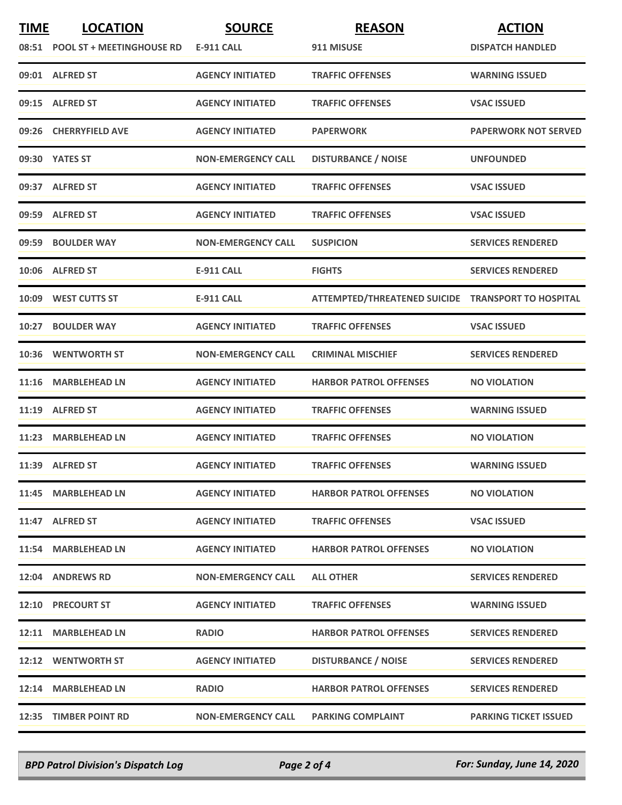| <b>TIME</b> | <b>LOCATION</b>                 | <b>SOURCE</b>             | <b>REASON</b>                                      | <b>ACTION</b>                |
|-------------|---------------------------------|---------------------------|----------------------------------------------------|------------------------------|
|             | 08:51 POOL ST + MEETINGHOUSE RD | <b>E-911 CALL</b>         | 911 MISUSE                                         | <b>DISPATCH HANDLED</b>      |
|             | 09:01 ALFRED ST                 | <b>AGENCY INITIATED</b>   | <b>TRAFFIC OFFENSES</b>                            | <b>WARNING ISSUED</b>        |
|             | 09:15 ALFRED ST                 | <b>AGENCY INITIATED</b>   | <b>TRAFFIC OFFENSES</b>                            | <b>VSAC ISSUED</b>           |
|             | 09:26 CHERRYFIELD AVE           | <b>AGENCY INITIATED</b>   | <b>PAPERWORK</b>                                   | <b>PAPERWORK NOT SERVED</b>  |
|             | 09:30 YATES ST                  | <b>NON-EMERGENCY CALL</b> | <b>DISTURBANCE / NOISE</b>                         | <b>UNFOUNDED</b>             |
|             | 09:37 ALFRED ST                 | <b>AGENCY INITIATED</b>   | <b>TRAFFIC OFFENSES</b>                            | <b>VSAC ISSUED</b>           |
|             | 09:59 ALFRED ST                 | <b>AGENCY INITIATED</b>   | <b>TRAFFIC OFFENSES</b>                            | <b>VSAC ISSUED</b>           |
|             | 09:59 BOULDER WAY               | <b>NON-EMERGENCY CALL</b> | <b>SUSPICION</b>                                   | <b>SERVICES RENDERED</b>     |
|             | 10:06 ALFRED ST                 | <b>E-911 CALL</b>         | <b>FIGHTS</b>                                      | <b>SERVICES RENDERED</b>     |
|             | 10:09 WEST CUTTS ST             | <b>E-911 CALL</b>         | ATTEMPTED/THREATENED SUICIDE TRANSPORT TO HOSPITAL |                              |
|             | 10:27 BOULDER WAY               | <b>AGENCY INITIATED</b>   | <b>TRAFFIC OFFENSES</b>                            | <b>VSAC ISSUED</b>           |
|             | 10:36 WENTWORTH ST              | <b>NON-EMERGENCY CALL</b> | <b>CRIMINAL MISCHIEF</b>                           | <b>SERVICES RENDERED</b>     |
| 11:16       | <b>MARBLEHEAD LN</b>            | <b>AGENCY INITIATED</b>   | <b>HARBOR PATROL OFFENSES</b>                      | <b>NO VIOLATION</b>          |
|             | 11:19 ALFRED ST                 | <b>AGENCY INITIATED</b>   | <b>TRAFFIC OFFENSES</b>                            | <b>WARNING ISSUED</b>        |
|             | 11:23 MARBLEHEAD LN             | <b>AGENCY INITIATED</b>   | <b>TRAFFIC OFFENSES</b>                            | <b>NO VIOLATION</b>          |
|             | 11:39 ALFRED ST                 | <b>AGENCY INITIATED</b>   | <b>TRAFFIC OFFENSES</b>                            | <b>WARNING ISSUED</b>        |
|             | 11:45 MARBLEHEAD LN             | <b>AGENCY INITIATED</b>   | <b>HARBOR PATROL OFFENSES</b>                      | <b>NO VIOLATION</b>          |
|             | 11:47 ALFRED ST                 | <b>AGENCY INITIATED</b>   | <b>TRAFFIC OFFENSES</b>                            | <b>VSAC ISSUED</b>           |
|             | 11:54 MARBLEHEAD LN             | <b>AGENCY INITIATED</b>   | <b>HARBOR PATROL OFFENSES</b>                      | <b>NO VIOLATION</b>          |
|             | 12:04 ANDREWS RD                | <b>NON-EMERGENCY CALL</b> | <b>ALL OTHER</b>                                   | <b>SERVICES RENDERED</b>     |
|             | <b>12:10 PRECOURT ST</b>        | <b>AGENCY INITIATED</b>   | <b>TRAFFIC OFFENSES</b>                            | <b>WARNING ISSUED</b>        |
|             | 12:11 MARBLEHEAD LN             | <b>RADIO</b>              | <b>HARBOR PATROL OFFENSES</b>                      | <b>SERVICES RENDERED</b>     |
|             | 12:12 WENTWORTH ST              | <b>AGENCY INITIATED</b>   | <b>DISTURBANCE / NOISE</b>                         | <b>SERVICES RENDERED</b>     |
|             | 12:14 MARBLEHEAD LN             | <b>RADIO</b>              | <b>HARBOR PATROL OFFENSES</b>                      | <b>SERVICES RENDERED</b>     |
|             | 12:35 TIMBER POINT RD           | <b>NON-EMERGENCY CALL</b> | <b>PARKING COMPLAINT</b>                           | <b>PARKING TICKET ISSUED</b> |

*BPD Patrol Division's Dispatch Log Page 2 of 4 For: Sunday, June 14, 2020*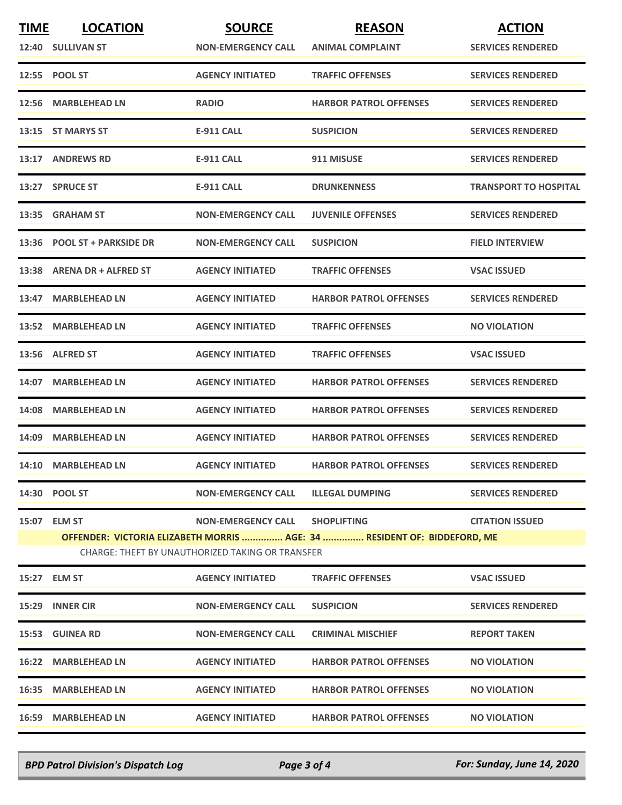| <b>TIME</b> | <b>LOCATION</b>             | <b>SOURCE</b>                                    | <b>REASON</b>                                                            | <b>ACTION</b>                |
|-------------|-----------------------------|--------------------------------------------------|--------------------------------------------------------------------------|------------------------------|
|             | 12:40 SULLIVAN ST           | <b>NON-EMERGENCY CALL</b>                        | <b>ANIMAL COMPLAINT</b>                                                  | <b>SERVICES RENDERED</b>     |
|             | 12:55 POOL ST               | <b>AGENCY INITIATED</b>                          | <b>TRAFFIC OFFENSES</b>                                                  | <b>SERVICES RENDERED</b>     |
|             | 12:56 MARBLEHEAD LN         | <b>RADIO</b>                                     | <b>HARBOR PATROL OFFENSES</b>                                            | <b>SERVICES RENDERED</b>     |
|             | 13:15 ST MARYS ST           | <b>E-911 CALL</b>                                | <b>SUSPICION</b>                                                         | <b>SERVICES RENDERED</b>     |
|             | 13:17 ANDREWS RD            | <b>E-911 CALL</b>                                | 911 MISUSE                                                               | <b>SERVICES RENDERED</b>     |
|             | 13:27 SPRUCE ST             | <b>E-911 CALL</b>                                | <b>DRUNKENNESS</b>                                                       | <b>TRANSPORT TO HOSPITAL</b> |
|             | 13:35 GRAHAM ST             | <b>NON-EMERGENCY CALL</b>                        | <b>JUVENILE OFFENSES</b>                                                 | <b>SERVICES RENDERED</b>     |
|             | 13:36 POOL ST + PARKSIDE DR | <b>NON-EMERGENCY CALL</b>                        | <b>SUSPICION</b>                                                         | <b>FIELD INTERVIEW</b>       |
|             | 13:38 ARENA DR + ALFRED ST  | <b>AGENCY INITIATED</b>                          | <b>TRAFFIC OFFENSES</b>                                                  | <b>VSAC ISSUED</b>           |
|             | 13:47 MARBLEHEAD LN         | <b>AGENCY INITIATED</b>                          | <b>HARBOR PATROL OFFENSES</b>                                            | <b>SERVICES RENDERED</b>     |
|             | 13:52 MARBLEHEAD LN         | <b>AGENCY INITIATED</b>                          | <b>TRAFFIC OFFENSES</b>                                                  | <b>NO VIOLATION</b>          |
|             | 13:56 ALFRED ST             | <b>AGENCY INITIATED</b>                          | <b>TRAFFIC OFFENSES</b>                                                  | <b>VSAC ISSUED</b>           |
|             | 14:07 MARBLEHEAD LN         | <b>AGENCY INITIATED</b>                          | <b>HARBOR PATROL OFFENSES</b>                                            | <b>SERVICES RENDERED</b>     |
|             | 14:08 MARBLEHEAD LN         | <b>AGENCY INITIATED</b>                          | <b>HARBOR PATROL OFFENSES</b>                                            | <b>SERVICES RENDERED</b>     |
|             | 14:09 MARBLEHEAD LN         | <b>AGENCY INITIATED</b>                          | <b>HARBOR PATROL OFFENSES</b>                                            | <b>SERVICES RENDERED</b>     |
|             | 14:10 MARBLEHEAD LN         | <b>AGENCY INITIATED</b>                          | <b>HARBOR PATROL OFFENSES</b>                                            | <b>SERVICES RENDERED</b>     |
|             | 14:30 POOL ST               | <b>NON-EMERGENCY CALL</b>                        | <b>ILLEGAL DUMPING</b>                                                   | <b>SERVICES RENDERED</b>     |
|             | 15:07 ELM ST                | <b>NON-EMERGENCY CALL</b>                        | <b>SHOPLIFTING</b>                                                       | <b>CITATION ISSUED</b>       |
|             |                             |                                                  | OFFENDER: VICTORIA ELIZABETH MORRIS  AGE: 34  RESIDENT OF: BIDDEFORD, ME |                              |
|             |                             | CHARGE: THEFT BY UNAUTHORIZED TAKING OR TRANSFER |                                                                          |                              |
|             | 15:27 ELM ST                | <b>AGENCY INITIATED</b>                          | <b>TRAFFIC OFFENSES</b>                                                  | <b>VSAC ISSUED</b>           |
|             | 15:29 INNER CIR             | <b>NON-EMERGENCY CALL</b>                        | <b>SUSPICION</b>                                                         | <b>SERVICES RENDERED</b>     |
|             | 15:53 GUINEA RD             | <b>NON-EMERGENCY CALL</b>                        | <b>CRIMINAL MISCHIEF</b>                                                 | <b>REPORT TAKEN</b>          |
|             | 16:22 MARBLEHEAD LN         | <b>AGENCY INITIATED</b>                          | <b>HARBOR PATROL OFFENSES</b>                                            | <b>NO VIOLATION</b>          |
|             | 16:35 MARBLEHEAD LN         | <b>AGENCY INITIATED</b>                          | <b>HARBOR PATROL OFFENSES</b>                                            | <b>NO VIOLATION</b>          |
|             | 16:59 MARBLEHEAD LN         | <b>AGENCY INITIATED</b>                          | <b>HARBOR PATROL OFFENSES</b>                                            | <b>NO VIOLATION</b>          |
|             |                             |                                                  |                                                                          |                              |

*BPD Patrol Division's Dispatch Log Page 3 of 4 For: Sunday, June 14, 2020*